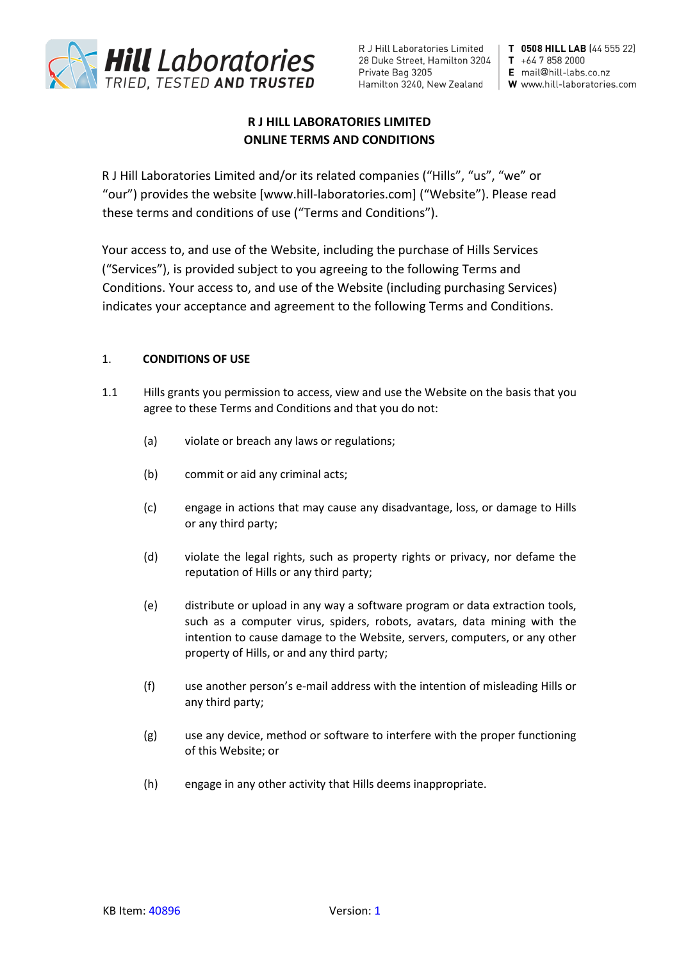

R J Hill Laboratories Limited | 28 Duke Street, Hamilton 3204 | T +64 7 858 2000 Private Bag 3205 Hamilton 3240, New Zealand | W www.hill-laboratories.com

T 0508 HILL LAB (44 555 22) E mail@hill-labs.co.nz

# **R J HILL LABORATORIES LIMITED ONLINE TERMS AND CONDITIONS**

R J Hill Laboratories Limited and/or its related companies ("Hills", "us", "we" or "our") provides the website [www.hill-laboratories.com] ("Website"). Please read these terms and conditions of use ("Terms and Conditions").

Your access to, and use of the Website, including the purchase of Hills Services ("Services"), is provided subject to you agreeing to the following Terms and Conditions. Your access to, and use of the Website (including purchasing Services) indicates your acceptance and agreement to the following Terms and Conditions.

# 1. **CONDITIONS OF USE**

- 1.1 Hills grants you permission to access, view and use the Website on the basis that you agree to these Terms and Conditions and that you do not:
	- (a) violate or breach any laws or regulations;
	- (b) commit or aid any criminal acts;
	- (c) engage in actions that may cause any disadvantage, loss, or damage to Hills or any third party;
	- (d) violate the legal rights, such as property rights or privacy, nor defame the reputation of Hills or any third party;
	- (e) distribute or upload in any way a software program or data extraction tools, such as a computer virus, spiders, robots, avatars, data mining with the intention to cause damage to the Website, servers, computers, or any other property of Hills, or and any third party;
	- (f) use another person's e-mail address with the intention of misleading Hills or any third party;
	- (g) use any device, method or software to interfere with the proper functioning of this Website; or
	- (h) engage in any other activity that Hills deems inappropriate.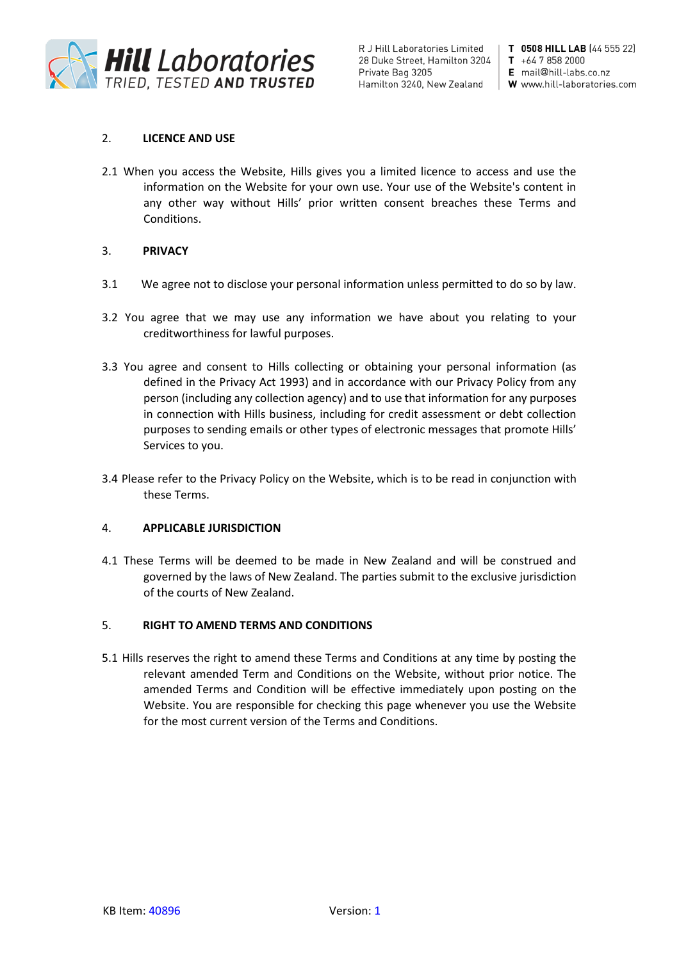

R J Hill Laboratories Limited | 28 Duke Street, Hamilton 3204 Private Bag 3205

T 0508 HILL LAB (44 555 22)  $T + 6478582000$ E mail@hill-labs.co.nz Hamilton 3240, New Zealand  $\parallel$  W www.hill-laboratories.com

# 2. **LICENCE AND USE**

2.1 When you access the Website, Hills gives you a limited licence to access and use the information on the Website for your own use. Your use of the Website's content in any other way without Hills' prior written consent breaches these Terms and Conditions.

# 3. **PRIVACY**

- 3.1 We agree not to disclose your personal information unless permitted to do so by law.
- 3.2 You agree that we may use any information we have about you relating to your creditworthiness for lawful purposes.
- 3.3 You agree and consent to Hills collecting or obtaining your personal information (as defined in the Privacy Act 1993) and in accordance with our Privacy Policy from any person (including any collection agency) and to use that information for any purposes in connection with Hills business, including for credit assessment or debt collection purposes to sending emails or other types of electronic messages that promote Hills' Services to you.
- 3.4 Please refer to the Privacy Policy on the Website, which is to be read in conjunction with these Terms.

# 4. **APPLICABLE JURISDICTION**

4.1 These Terms will be deemed to be made in New Zealand and will be construed and governed by the laws of New Zealand. The parties submit to the exclusive jurisdiction of the courts of New Zealand.

# 5. **RIGHT TO AMEND TERMS AND CONDITIONS**

5.1 Hills reserves the right to amend these Terms and Conditions at any time by posting the relevant amended Term and Conditions on the Website, without prior notice. The amended Terms and Condition will be effective immediately upon posting on the Website. You are responsible for checking this page whenever you use the Website for the most current version of the Terms and Conditions.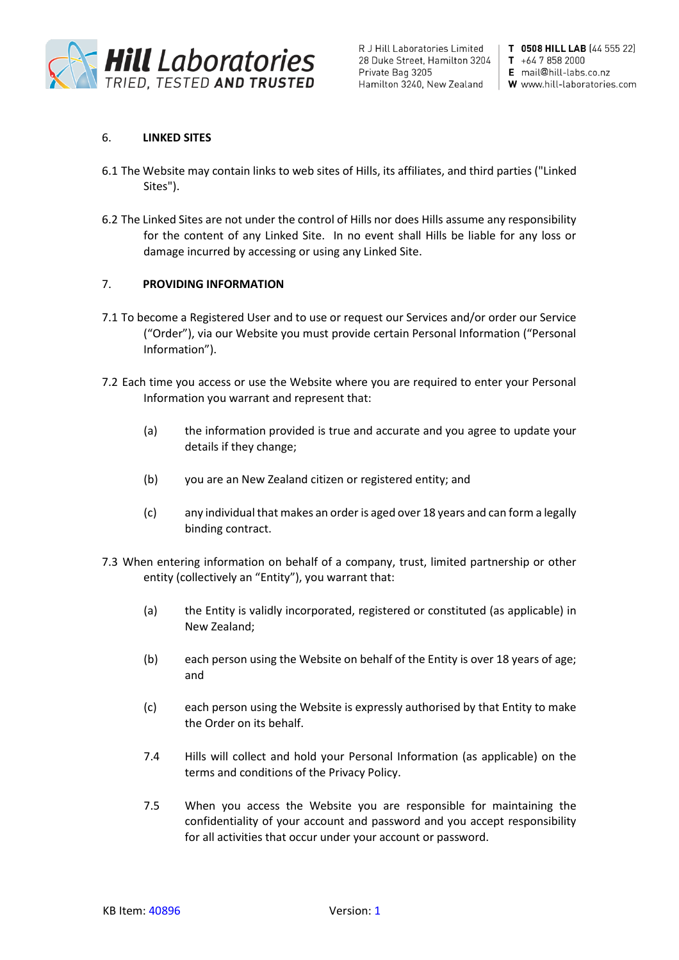

R J Hill Laboratories Limited | 28 Duke Street, Hamilton 3204 | T +64 7 858 2000 Private Bag 3205

T 0508 HILL LAB (44 555 22) E mail@hill-labs.co.nz Hamilton 3240, New Zealand | W www.hill-laboratories.com

# 6. **LINKED SITES**

- 6.1 The Website may contain links to web sites of Hills, its affiliates, and third parties ("Linked Sites").
- 6.2 The Linked Sites are not under the control of Hills nor does Hills assume any responsibility for the content of any Linked Site. In no event shall Hills be liable for any loss or damage incurred by accessing or using any Linked Site.

### 7. **PROVIDING INFORMATION**

- 7.1 To become a Registered User and to use or request our Services and/or order our Service ("Order"), via our Website you must provide certain Personal Information ("Personal Information").
- 7.2 Each time you access or use the Website where you are required to enter your Personal Information you warrant and represent that:
	- (a) the information provided is true and accurate and you agree to update your details if they change;
	- (b) you are an New Zealand citizen or registered entity; and
	- (c) any individual that makes an order is aged over 18 years and can form a legally binding contract.
- 7.3 When entering information on behalf of a company, trust, limited partnership or other entity (collectively an "Entity"), you warrant that:
	- (a) the Entity is validly incorporated, registered or constituted (as applicable) in New Zealand;
	- (b) each person using the Website on behalf of the Entity is over 18 years of age; and
	- (c) each person using the Website is expressly authorised by that Entity to make the Order on its behalf.
	- 7.4 Hills will collect and hold your Personal Information (as applicable) on the terms and conditions of the Privacy Policy.
	- 7.5 When you access the Website you are responsible for maintaining the confidentiality of your account and password and you accept responsibility for all activities that occur under your account or password.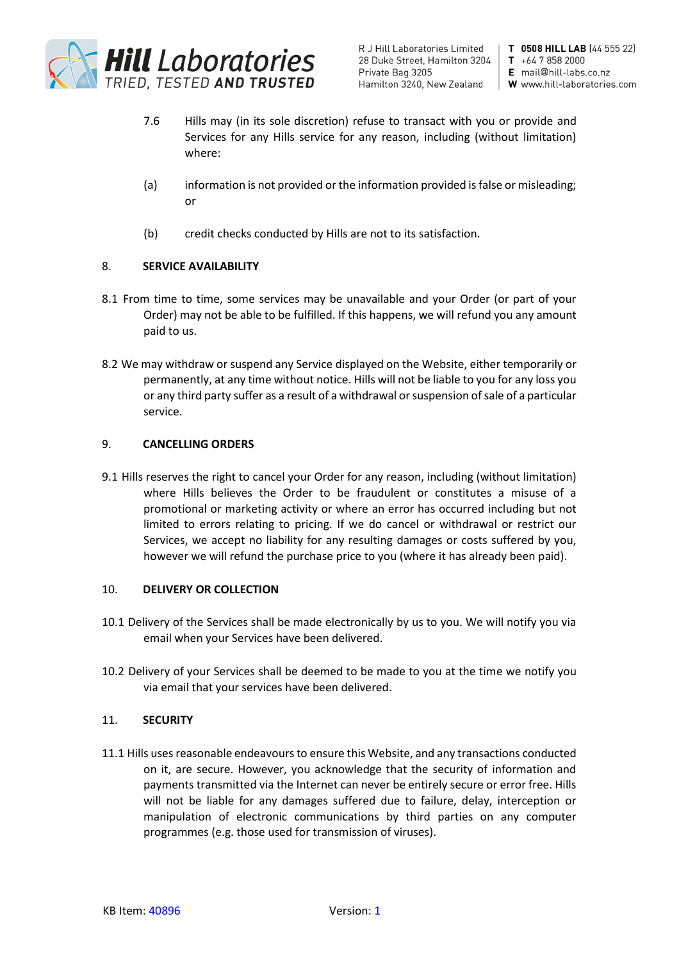

R J Hill Laboratories Limited | 28 Duke Street, Hamilton 3204 Private Bag 3205 Hamilton 3240, New Zealand | W www.hill-laboratories.com

T 0508 HILL LAB (44 555 22)  $T + 6478582000$ E mail@hill-labs.co.nz

- 7.6 Hills may (in its sole discretion) refuse to transact with you or provide and Services for any Hills service for any reason, including (without limitation) where:
- (a) information is not provided or the information provided is false or misleading; or
- (b) credit checks conducted by Hills are not to its satisfaction.

# 8. **SERVICE AVAILABILITY**

- 8.1 From time to time, some services may be unavailable and your Order (or part of your Order) may not be able to be fulfilled. If this happens, we will refund you any amount paid to us.
- 8.2 We may withdraw or suspend any Service displayed on the Website, either temporarily or permanently, at any time without notice. Hills will not be liable to you for any loss you or any third party suffer as a result of a withdrawal or suspension of sale of a particular service.

# 9. **CANCELLING ORDERS**

9.1 Hills reserves the right to cancel your Order for any reason, including (without limitation) where Hills believes the Order to be fraudulent or constitutes a misuse of a promotional or marketing activity or where an error has occurred including but not limited to errors relating to pricing. If we do cancel or withdrawal or restrict our Services, we accept no liability for any resulting damages or costs suffered by you, however we will refund the purchase price to you (where it has already been paid).

# 10. **DELIVERY OR COLLECTION**

- 10.1 Delivery of the Services shall be made electronically by us to you. We will notify you via email when your Services have been delivered.
- 10.2 Delivery of your Services shall be deemed to be made to you at the time we notify you via email that your services have been delivered.

# 11. **SECURITY**

11.1 Hills uses reasonable endeavours to ensure this Website, and any transactions conducted on it, are secure. However, you acknowledge that the security of information and payments transmitted via the Internet can never be entirely secure or error free. Hills will not be liable for any damages suffered due to failure, delay, interception or manipulation of electronic communications by third parties on any computer programmes (e.g. those used for transmission of viruses).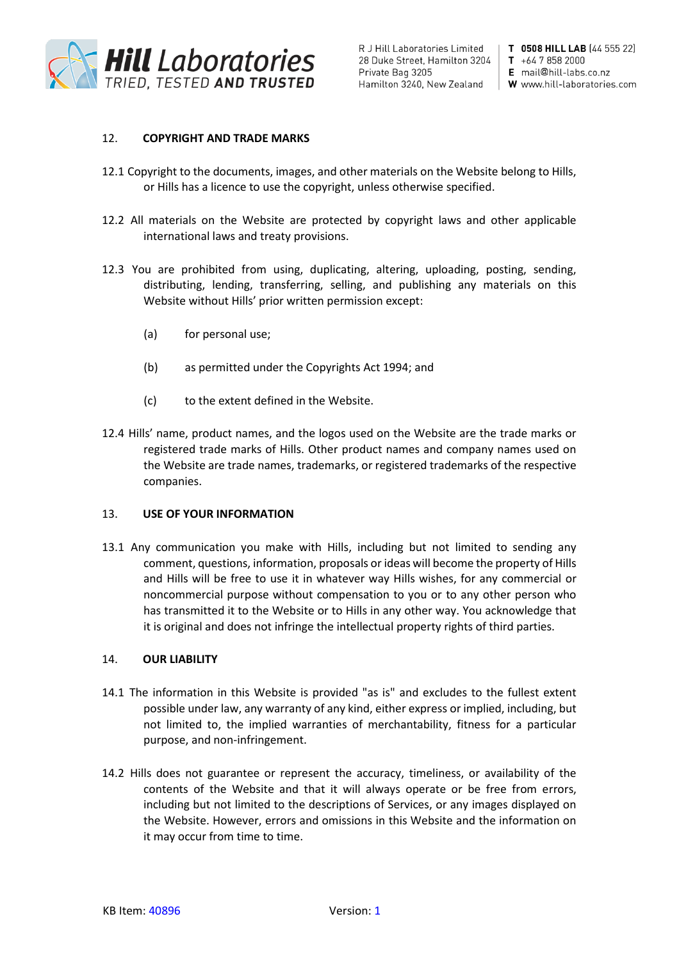

R J Hill Laboratories Limited | 28 Duke Street, Hamilton 3204 Private Bag 3205 Hamilton 3240, New Zealand

T 0508 HILL LAB (44 555 22)  $T + 6478582000$ E mail@hill-labs.co.nz W www.hill-laboratories.com

### 12. **COPYRIGHT AND TRADE MARKS**

- 12.1 Copyright to the documents, images, and other materials on the Website belong to Hills, or Hills has a licence to use the copyright, unless otherwise specified.
- 12.2 All materials on the Website are protected by copyright laws and other applicable international laws and treaty provisions.
- 12.3 You are prohibited from using, duplicating, altering, uploading, posting, sending, distributing, lending, transferring, selling, and publishing any materials on this Website without Hills' prior written permission except:
	- (a) for personal use;
	- (b) as permitted under the Copyrights Act 1994; and
	- (c) to the extent defined in the Website.
- 12.4 Hills' name, product names, and the logos used on the Website are the trade marks or registered trade marks of Hills. Other product names and company names used on the Website are trade names, trademarks, or registered trademarks of the respective companies.

#### 13. **USE OF YOUR INFORMATION**

13.1 Any communication you make with Hills, including but not limited to sending any comment, questions, information, proposals or ideas will become the property of Hills and Hills will be free to use it in whatever way Hills wishes, for any commercial or noncommercial purpose without compensation to you or to any other person who has transmitted it to the Website or to Hills in any other way. You acknowledge that it is original and does not infringe the intellectual property rights of third parties.

#### 14. **OUR LIABILITY**

- 14.1 The information in this Website is provided "as is" and excludes to the fullest extent possible under law, any warranty of any kind, either express or implied, including, but not limited to, the implied warranties of merchantability, fitness for a particular purpose, and non-infringement.
- 14.2 Hills does not guarantee or represent the accuracy, timeliness, or availability of the contents of the Website and that it will always operate or be free from errors, including but not limited to the descriptions of Services, or any images displayed on the Website. However, errors and omissions in this Website and the information on it may occur from time to time.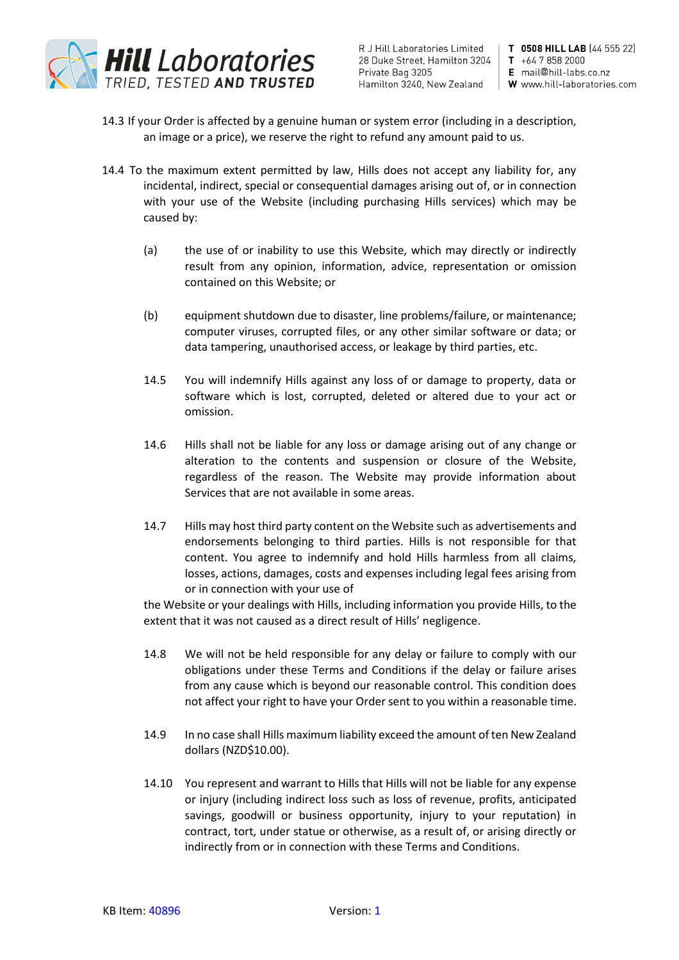

R J Hill Laboratories Limited | 28 Duke Street, Hamilton 3204 | T +64 7 858 2000 Private Bag 3205 Hamilton 3240, New Zealand | W www.hill-laboratories.com

T 0508 HILL LAB (44 555 22) E mail@hill-labs.co.nz

- 14.3 If your Order is affected by a genuine human or system error (including in a description, an image or a price), we reserve the right to refund any amount paid to us.
- 14.4 To the maximum extent permitted by law, Hills does not accept any liability for, any incidental, indirect, special or consequential damages arising out of, or in connection with your use of the Website (including purchasing Hills services) which may be caused by:
	- (a) the use of or inability to use this Website, which may directly or indirectly result from any opinion, information, advice, representation or omission contained on this Website; or
	- (b) equipment shutdown due to disaster, line problems/failure, or maintenance; computer viruses, corrupted files, or any other similar software or data; or data tampering, unauthorised access, or leakage by third parties, etc.
	- 14.5 You will indemnify Hills against any loss of or damage to property, data or software which is lost, corrupted, deleted or altered due to your act or omission.
	- 14.6 Hills shall not be liable for any loss or damage arising out of any change or alteration to the contents and suspension or closure of the Website, regardless of the reason. The Website may provide information about Services that are not available in some areas.
	- 14.7 Hills may host third party content on the Website such as advertisements and endorsements belonging to third parties. Hills is not responsible for that content. You agree to indemnify and hold Hills harmless from all claims, losses, actions, damages, costs and expenses including legal fees arising from or in connection with your use of

the Website or your dealings with Hills, including information you provide Hills, to the extent that it was not caused as a direct result of Hills' negligence.

- 14.8 We will not be held responsible for any delay or failure to comply with our obligations under these Terms and Conditions if the delay or failure arises from any cause which is beyond our reasonable control. This condition does not affect your right to have your Order sent to you within a reasonable time.
- 14.9 In no case shall Hills maximum liability exceed the amount of ten New Zealand dollars (NZD\$10.00).
- 14.10 You represent and warrant to Hills that Hills will not be liable for any expense or injury (including indirect loss such as loss of revenue, profits, anticipated savings, goodwill or business opportunity, injury to your reputation) in contract, tort, under statue or otherwise, as a result of, or arising directly or indirectly from or in connection with these Terms and Conditions.